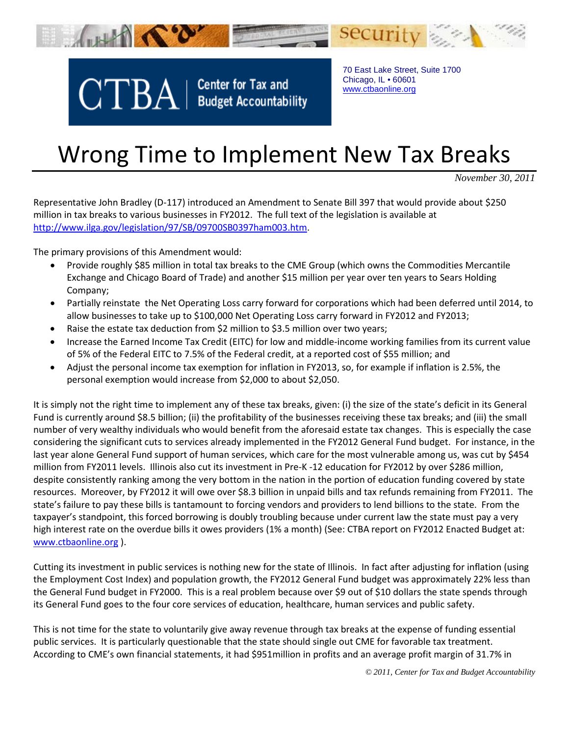

 $CTBA$  | Center for Tax and

70 East Lake Street, Suite 1700 Chicago, IL • 60601 [www.ctbaonline.org](http://www.ctbaonline.org/)

## Wrong Time to Implement New Tax Breaks

*November 30, 2011*

Representative John Bradley (D-117) introduced an Amendment to Senate Bill 397 that would provide about \$250 million in tax breaks to various businesses in FY2012. The full text of the legislation is available at [http://www.ilga.gov/legislation/97/SB/09700SB0397ham003.htm.](http://www.ilga.gov/legislation/97/SB/09700SB0397ham003.htm)

The primary provisions of this Amendment would:

- Provide roughly \$85 million in total tax breaks to the CME Group (which owns the Commodities Mercantile Exchange and Chicago Board of Trade) and another \$15 million per year over ten years to Sears Holding Company;
- Partially reinstate the Net Operating Loss carry forward for corporations which had been deferred until 2014, to allow businesses to take up to \$100,000 Net Operating Loss carry forward in FY2012 and FY2013;
- Raise the estate tax deduction from \$2 million to \$3.5 million over two years;
- Increase the Earned Income Tax Credit (EITC) for low and middle-income working families from its current value of 5% of the Federal EITC to 7.5% of the Federal credit, at a reported cost of \$55 million; and
- Adjust the personal income tax exemption for inflation in FY2013, so, for example if inflation is 2.5%, the personal exemption would increase from \$2,000 to about \$2,050.

It is simply not the right time to implement any of these tax breaks, given: (i) the size of the state's deficit in its General Fund is currently around \$8.5 billion; (ii) the profitability of the businesses receiving these tax breaks; and (iii) the small number of very wealthy individuals who would benefit from the aforesaid estate tax changes. This is especially the case considering the significant cuts to services already implemented in the FY2012 General Fund budget. For instance, in the last year alone General Fund support of human services, which care for the most vulnerable among us, was cut by \$454 million from FY2011 levels. Illinois also cut its investment in Pre-K -12 education for FY2012 by over \$286 million, despite consistently ranking among the very bottom in the nation in the portion of education funding covered by state resources. Moreover, by FY2012 it will owe over \$8.3 billion in unpaid bills and tax refunds remaining from FY2011. The state's failure to pay these bills is tantamount to forcing vendors and providers to lend billions to the state. From the taxpayer's standpoint, this forced borrowing is doubly troubling because under current law the state must pay a very high interest rate on the overdue bills it owes providers (1% a month) (See: CTBA report on FY2012 Enacted Budget at: [www.ctbaonline.org](http://www.ctbaonline.org/) ).

Cutting its investment in public services is nothing new for the state of Illinois. In fact after adjusting for inflation (using the Employment Cost Index) and population growth, the FY2012 General Fund budget was approximately 22% less than the General Fund budget in FY2000. This is a real problem because over \$9 out of \$10 dollars the state spends through its General Fund goes to the four core services of education, healthcare, human services and public safety.

This is not time for the state to voluntarily give away revenue through tax breaks at the expense of funding essential public services. It is particularly questionable that the state should single out CME for favorable tax treatment. According to CME's own financial statements, it had \$951million in profits and an average profit margin of 31.7% in